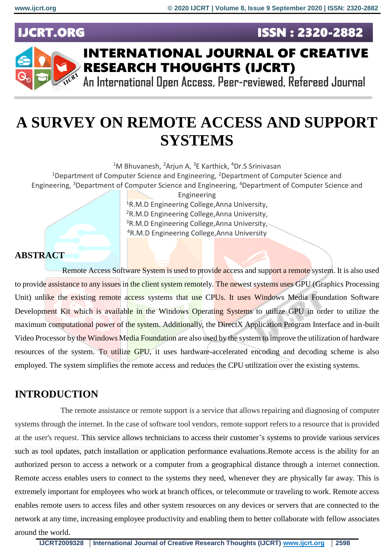**ISSN: 2320-2882** 

# **IJCRT.ORG**



# **INTERNATIONAL JOURNAL OF CREATIVE RESEARCH THOUGHTS (IJCRT)**

An International Open Access, Peer-reviewed, Refereed Journal

# **A SURVEY ON REMOTE ACCESS AND SUPPORT SYSTEMS**

<sup>1</sup>M Bhuvanesh, <sup>2</sup>Arjun A, <sup>3</sup>E Karthick, <sup>4</sup>Dr.S Srinivasan

<sup>1</sup>Department of Computer Science and Engineering,  $2$ Department of Computer Science and Engineering, <sup>3</sup>Department of Computer Science and Engineering, <sup>4</sup>Department of Computer Science and

> Engineering <sup>1</sup>R.M.D Engineering College,Anna University, <sup>2</sup>R.M.D Engineering College,Anna University, <sup>3</sup>R.M.D Engineering College, Anna University, <sup>4</sup>R.M.D Engineering College,Anna University

## **ABSTRACT**

Remote Access Software System is used to provide access and support a remote system. It is also used to provide assistance to any issues in the client system remotely. The newest systems uses GPU (Graphics Processing Unit) unlike the existing remote access systems that use CPUs. It uses Windows Media Foundation Software Development Kit which is available in the Windows Operating Systems to utilize GPU in order to utilize the maximum computational power of the system. Additionally, the DirectX Application Program Interface and in-built Video Processor by the Windows Media Foundation are also used by the system to improve the utilization of hardware resources of the system. To utilize GPU, it uses hardware-accelerated encoding and decoding scheme is also employed. The system simplifies the remote access and reduces the CPU utilization over the existing systems.

## **INTRODUCTION**

The remote assistance or remote support is a service that allows repairing and diagnosing of computer systems through the internet. In the case of software tool vendors, remote support refers to a resource that is provided at the user's request. This service allows technicians to access their customer's systems to provide various services such as tool updates, patch installation or application performance evaluations.Remote access is the ability for an authorized person to access a network or a computer from a geographical distance through a internet connection. Remote access enables users to connect to the systems they need, whenever they are physically far away. This is extremely important for employees who work at branch offices, or telecommute or traveling to work. Remote access enables remote users to access files and other system resources on any devices or servers that are connected to the network at any time, increasing employee productivity and enabling them to better collaborate with fellow associates around the world.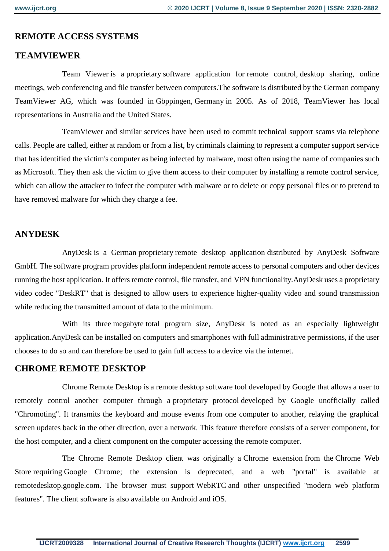## **REMOTE ACCESS SYSTEMS**

### **TEAMVIEWER**

Team Viewer is a [proprietary](https://en.wikipedia.org/wiki/Proprietary_software) software application for [remote control,](https://en.wikipedia.org/wiki/Remote_administration) [desktop sharing,](https://en.wikipedia.org/wiki/Desktop_sharing) online meetings, [web conferencing](https://en.wikipedia.org/wiki/Web_conferencing) and [file transfer](https://en.wikipedia.org/wiki/File_transfer) between computers.The software is distributed by the German company TeamViewer AG, which was founded in [Göppingen,](https://en.wikipedia.org/wiki/G%C3%B6ppingen) [Germany](https://en.wikipedia.org/wiki/Germany) in 2005. As of 2018, TeamViewer has local representations in Australia and the United States.

TeamViewer and similar services have been used to commit [technical support scams](https://en.wikipedia.org/wiki/Technical_support_scam) via telephone calls. People are called, either at random or from a list, by criminals claiming to represent a computer support service that has identified the victim's computer as being infected by [malware,](https://en.wikipedia.org/wiki/Malware) most often using the name of companies such as [Microsoft.](https://en.wikipedia.org/wiki/Microsoft) They then ask the victim to give them access to their computer by installing a remote control service, which can allow the attacker to infect the computer with [malware](https://en.wikipedia.org/wiki/Malware) or to delete or copy personal files or to pretend to have removed malware for which they charge a fee.

### **ANYDESK**

AnyDesk is a German [proprietary](https://en.wikipedia.org/wiki/Proprietary_software) [remote desktop application](https://en.wikipedia.org/wiki/Remote_desktop_software) distributed by AnyDesk Software GmbH. The software program provides platform independent remote access to [personal computers](https://en.wikipedia.org/wiki/Personal_computers) and other devices running the host application. It offers remote control, [file transfer,](https://en.wikipedia.org/wiki/File_transfer) and [VPN](https://en.wikipedia.org/wiki/Virtual_private_network) functionality.AnyDesk uses a proprietary video codec "DeskRT" that is designed to allow users to experience higher-quality video and sound transmission while reducing the transmitted amount of data to the minimum.

With its three [megabyte](https://en.wikipedia.org/wiki/Megabyte) total program size, AnyDesk is noted as an especially lightweight application.AnyDesk can be installed on [computers](https://en.wikipedia.org/wiki/Personal_computer) and [smartphones](https://en.wikipedia.org/wiki/Smartphone) with full administrative permissions, if the user chooses to do so and can therefore be used to gain full access to a device via the internet.

#### **CHROME REMOTE DESKTOP**

Chrome Remote Desktop is a [remote desktop software](https://en.wikipedia.org/wiki/Remote_desktop_software) tool developed by [Google](https://en.wikipedia.org/wiki/Google) that allows a user to remotely control another computer through a [proprietary protocol](https://en.wikipedia.org/wiki/Proprietary_protocol) developed by Google unofficially called "Chromoting". It transmits the keyboard and mouse events from one computer to another, relaying the graphical screen updates back in the other direction, over a [network.](https://en.wikipedia.org/wiki/Computer_network) This feature therefore consists of a [server](https://en.wikipedia.org/wiki/Server_(computing)) component, for the host computer, and a [client](https://en.wikipedia.org/wiki/Client_(computing)) component on the computer accessing the remote computer.

The Chrome Remote Desktop client was originally a Chrome [extension](https://en.wikipedia.org/wiki/Chrome_extension) from the [Chrome Web](https://en.wikipedia.org/wiki/Chrome_Web_Store)  [Store](https://en.wikipedia.org/wiki/Chrome_Web_Store) requiring [Google Chrome;](https://en.wikipedia.org/wiki/Google_Chrome) the extension is deprecated, and a web "portal" is available at remotedesktop.google.com. The browser must support [WebRTC](https://en.wikipedia.org/wiki/WebRTC) and other unspecified "modern web platform features". The client software is also available on [Android](https://en.wikipedia.org/wiki/Android_(operating_system)) and [iOS.](https://en.wikipedia.org/wiki/IOS)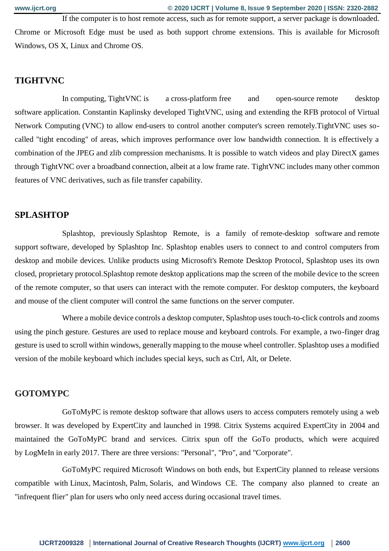If the computer is to host remote access, such as for remote support, a server package is downloaded. Chrome or Microsoft Edge must be used as both support chrome extensions. This is available for [Microsoft](https://en.wikipedia.org/wiki/Microsoft_Windows)  [Windows,](https://en.wikipedia.org/wiki/Microsoft_Windows) [OS X,](https://en.wikipedia.org/wiki/OS_X) [Linux](https://en.wikipedia.org/wiki/Linux) and [Chrome OS.](https://en.wikipedia.org/wiki/Chrome_OS)

#### **TIGHTVNC**

In [computing,](https://en.wikipedia.org/wiki/Computing) TightVNC is a [cross-platform](https://en.wikipedia.org/wiki/Cross-platform) [free and open-source](https://en.wikipedia.org/wiki/Free_and_open-source_software) [remote desktop](https://en.wikipedia.org/wiki/Remote_desktop_software)  [software](https://en.wikipedia.org/wiki/Remote_desktop_software) application. Constantin Kaplinsky developed TightVNC, using and extending the [RFB protocol](https://en.wikipedia.org/wiki/RFB_protocol) of [Virtual](https://en.wikipedia.org/wiki/Virtual_Network_Computing)  [Network Computing](https://en.wikipedia.org/wiki/Virtual_Network_Computing) (VNC) to allow end-users to control another computer's screen remotely.TightVNC uses socalled "tight encoding" of areas, which improves performance over low bandwidth connection. It is effectively a combination of the [JPEG](https://en.wikipedia.org/wiki/JPEG) and [zlib](https://en.wikipedia.org/wiki/Zlib) compression mechanisms. It is possible to watch videos and play DirectX games through TightVNC over a broadband connection, albeit at a low frame rate. TightVNC includes many other common features of VNC derivatives, such as file transfer capability.

#### **SPLASHTOP**

Splashtop, previously Splashtop Remote, is a family of [remote-desktop software](https://en.wikipedia.org/wiki/Remote_desktop_software) and [remote](https://en.wikipedia.org/wiki/Remote_support)  [support](https://en.wikipedia.org/wiki/Remote_support) software, developed by Splashtop Inc. Splashtop enables users to connect to and control [computers](https://en.wikipedia.org/wiki/Computer) from desktop and mobile devices. Unlike products using Microsoft's [Remote Desktop Protocol,](https://en.wikipedia.org/wiki/Remote_Desktop_Protocol) Splashtop uses its own closed, proprietary protocol.Splashtop remote desktop applications map the screen of the mobile device to the screen of the remote computer, so that users can interact with the remote computer. For desktop computers, the keyboard and mouse of the client computer will control the same functions on the server computer.

Where a mobile device controls a desktop computer, Splashtop uses touch-to-click controls and zooms using the pinch gesture. Gestures are used to replace mouse and keyboard controls. For example, a two-finger drag gesture is used to scroll within windows, generally mapping to the mouse wheel controller. Splashtop uses a modified version of the mobile keyboard which includes special keys, such as Ctrl, Alt, or Delete.

## **GOTOMYPC**

GoToMyPC is [remote desktop software](https://en.wikipedia.org/wiki/Remote_desktop_software) that allows users to access computers remotely using a web browser. It was developed by ExpertCity and launched in 1998. Citrix Systems acquired ExpertCity in 2004 and maintained the GoToMyPC brand and services. Citrix spun off the GoTo products, which were acquired by [LogMeIn](https://en.wikipedia.org/wiki/LogMeIn) in early 2017. There are three versions: "Personal", "Pro", and "Corporate".

GoToMyPC required [Microsoft Windows](https://en.wikipedia.org/wiki/Microsoft_Windows) on both ends, but ExpertCity planned to release versions compatible with [Linux,](https://en.wikipedia.org/wiki/Linux) [Macintosh,](https://en.wikipedia.org/wiki/Macintosh) [Palm,](https://en.wikipedia.org/wiki/Palm,_Inc.) [Solaris,](https://en.wikipedia.org/wiki/Solaris_(operating_system)) and [Windows CE.](https://en.wikipedia.org/wiki/Windows_CE) The company also planned to create an "infrequent flier" plan for users who only need access during occasional travel times.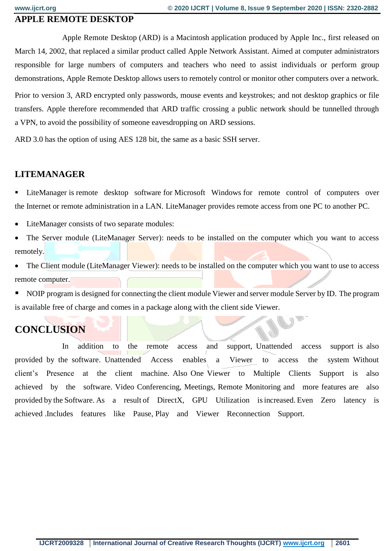#### **APPLE REMOTE DESKTOP**

Apple Remote Desktop (ARD) is a [Macintosh](https://en.wikipedia.org/wiki/Macintosh) application produced by [Apple Inc.,](https://en.wikipedia.org/wiki/Apple_Inc.) first released on March 14, 2002, that replaced a similar product called Apple Network Assistant. Aimed at computer administrators responsible for large numbers of computers and teachers who need to assist individuals or perform group demonstrations, Apple Remote Desktop allows users to remotely control or monitor other computers over a network.

Prior to version 3, ARD encrypted only passwords, mouse events and keystrokes; and not desktop graphics or file transfers. Apple therefore recommended that ARD traffic crossing a public network should be tunnelled through a [VPN,](https://en.wikipedia.org/wiki/VPN) to avoid the possibility of someone eavesdropping on ARD sessions.

ARD 3.0 has the option of using AES 128 bit, the same as a basic SSH server.

#### **LITEMANAGER**

 LiteManager is remote desktop software for Microsoft Windows for remote control of computers over the Internet or remote administration in a LAN. LiteManager provides remote access from one PC to another PC.

- LiteManager consists of two separate modules:
- The Server module (LiteManager Server): needs to be installed on the computer which you want to access remotely.

 The Client module (LiteManager Viewer): needs to be installed on the computer which you want to use to access remote computer.

 NOIP program is designed for connecting the client module Viewer and server module Server by ID. The program is available free of charge and comes in a package along with the client side Viewer.

# **CONCLUSION**

In addition to the remote access and support, Unattended access support is also provided by the software. Unattended Access enables a Viewer to access the system Without client's Presence at the client machine. Also One Viewer to Multiple Clients Support is also achieved by the software. Video Conferencing, Meetings, Remote Monitoring and more features are also provided by the Software. As a result of DirectX, GPU Utilization is increased. Even Zero latency is achieved .Includes features like Pause, Play and Viewer Reconnection Support.